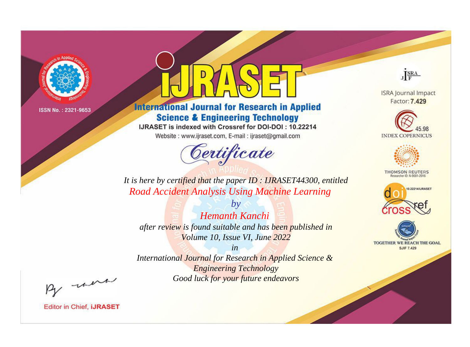

# **International Journal for Research in Applied Science & Engineering Technology**

IJRASET is indexed with Crossref for DOI-DOI: 10.22214

Website: www.ijraset.com, E-mail: ijraset@gmail.com



JERA

**ISRA Journal Impact** Factor: 7.429





**THOMSON REUTERS** 



TOGETHER WE REACH THE GOAL **SJIF 7.429** 

*It is here by certified that the paper ID : IJRASET44300, entitled Road Accident Analysis Using Machine Learning*

*by Hemanth Kanchi after review is found suitable and has been published in Volume 10, Issue VI, June 2022*

*in International Journal for Research in Applied Science &* 

*Engineering Technology Good luck for your future endeavors*

By morn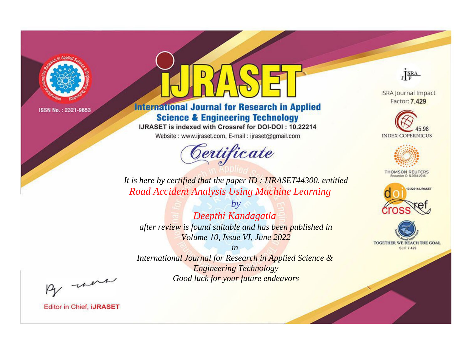

# **International Journal for Research in Applied Science & Engineering Technology**

IJRASET is indexed with Crossref for DOI-DOI: 10.22214

Website: www.ijraset.com, E-mail: ijraset@gmail.com



JERA

**ISRA Journal Impact** Factor: 7.429





**THOMSON REUTERS** 



TOGETHER WE REACH THE GOAL **SJIF 7.429** 

*It is here by certified that the paper ID : IJRASET44300, entitled Road Accident Analysis Using Machine Learning*

*by Deepthi Kandagatla after review is found suitable and has been published in Volume 10, Issue VI, June 2022*

*in* 

*International Journal for Research in Applied Science & Engineering Technology Good luck for your future endeavors*

By morn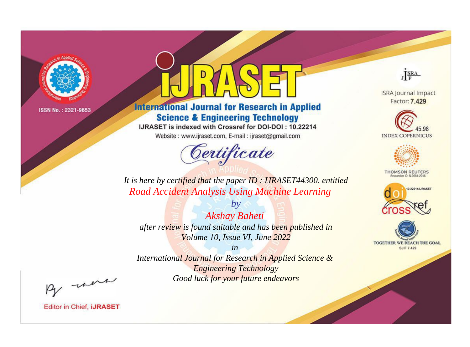

# **International Journal for Research in Applied Science & Engineering Technology**

IJRASET is indexed with Crossref for DOI-DOI: 10.22214

Website: www.ijraset.com, E-mail: ijraset@gmail.com



JERA

**ISRA Journal Impact** Factor: 7.429





**THOMSON REUTERS** 



TOGETHER WE REACH THE GOAL **SJIF 7.429** 

*It is here by certified that the paper ID : IJRASET44300, entitled Road Accident Analysis Using Machine Learning*

*by Akshay Baheti after review is found suitable and has been published in Volume 10, Issue VI, June 2022*

*in* 

*International Journal for Research in Applied Science & Engineering Technology Good luck for your future endeavors*

By morn